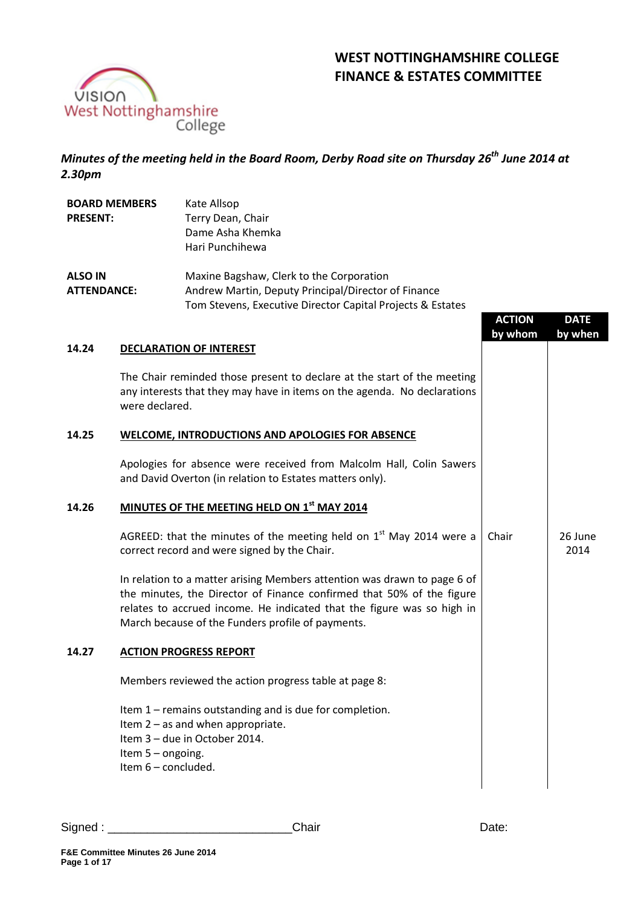

## **WEST NOTTINGHAMSHIRE COLLEGE FINANCE & ESTATES COMMITTEE**

*Minutes of the meeting held in the Board Room, Derby Road site on Thursday 26th June 2014 at 2.30pm*

| <b>BOARD MEMBERS</b> | Kate Allsop                                                |
|----------------------|------------------------------------------------------------|
| <b>PRESENT:</b>      | Terry Dean, Chair                                          |
|                      | Dame Asha Khemka                                           |
|                      | Hari Punchihewa                                            |
| <b>ALSO IN</b>       | Maxine Bagshaw, Clerk to the Corporation                   |
| <b>ATTENDANCE:</b>   | Andrew Martin, Deputy Principal/Director of Finance        |
|                      | Tom Stevens, Executive Director Capital Projects & Estates |

# **ACTION by whom DATE by when 14.24 DECLARATION OF INTEREST** The Chair reminded those present to declare at the start of the meeting any interests that they may have in items on the agenda. No declarations were declared. **14.25 WELCOME, INTRODUCTIONS AND APOLOGIES FOR ABSENCE**  Apologies for absence were received from Malcolm Hall, Colin Sawers and David Overton (in relation to Estates matters only). **14.26 MINUTES OF THE MEETING HELD ON 1 st MAY 2014**  AGREED: that the minutes of the meeting held on  $1<sup>st</sup>$  May 2014 were a correct record and were signed by the Chair. In relation to a matter arising Members attention was drawn to page 6 of the minutes, the Director of Finance confirmed that 50% of the figure relates to accrued income. He indicated that the figure was so high in March because of the Funders profile of payments. Chair 26 June 2014 **14.27 ACTION PROGRESS REPORT** Members reviewed the action progress table at page 8: Item 1 – remains outstanding and is due for completion. Item 2 – as and when appropriate. Item 3 – due in October 2014. Item 5 – ongoing. Item 6 – concluded.

Signed : \_\_\_\_\_\_\_\_\_\_\_\_\_\_\_\_\_\_\_\_\_\_\_\_\_\_\_\_Chair Date: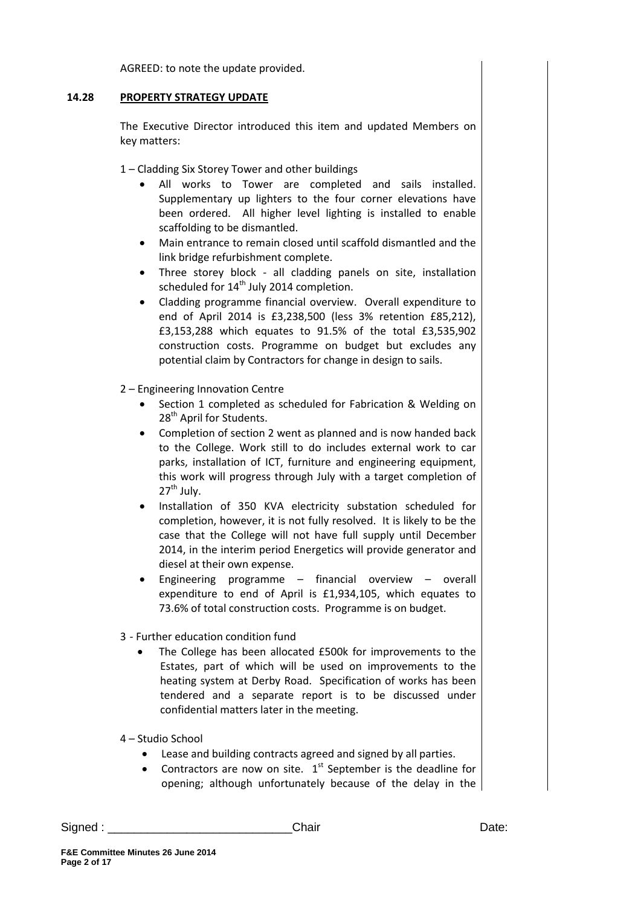AGREED: to note the update provided.

#### **14.28 PROPERTY STRATEGY UPDATE**

The Executive Director introduced this item and updated Members on key matters:

1 – Cladding Six Storey Tower and other buildings

- All works to Tower are completed and sails installed. Supplementary up lighters to the four corner elevations have been ordered. All higher level lighting is installed to enable scaffolding to be dismantled.
- Main entrance to remain closed until scaffold dismantled and the link bridge refurbishment complete.
- Three storey block all cladding panels on site, installation scheduled for  $14<sup>th</sup>$  July 2014 completion.
- Cladding programme financial overview. Overall expenditure to end of April 2014 is £3,238,500 (less 3% retention £85,212), £3,153,288 which equates to 91.5% of the total £3,535,902 construction costs. Programme on budget but excludes any potential claim by Contractors for change in design to sails.
- 2 Engineering Innovation Centre
	- Section 1 completed as scheduled for Fabrication & Welding on 28<sup>th</sup> April for Students.
	- Completion of section 2 went as planned and is now handed back to the College. Work still to do includes external work to car parks, installation of ICT, furniture and engineering equipment, this work will progress through July with a target completion of  $27<sup>th</sup>$  July.
	- Installation of 350 KVA electricity substation scheduled for completion, however, it is not fully resolved. It is likely to be the case that the College will not have full supply until December 2014, in the interim period Energetics will provide generator and diesel at their own expense.
	- Engineering programme financial overview overall expenditure to end of April is £1,934,105, which equates to 73.6% of total construction costs. Programme is on budget.
- 3 Further education condition fund
	- The College has been allocated £500k for improvements to the Estates, part of which will be used on improvements to the heating system at Derby Road. Specification of works has been tendered and a separate report is to be discussed under confidential matters later in the meeting.
- 4 Studio School
	- Lease and building contracts agreed and signed by all parties.
	- Contractors are now on site.  $1<sup>st</sup>$  September is the deadline for opening; although unfortunately because of the delay in the

Signed : \_\_\_\_\_\_\_\_\_\_\_\_\_\_\_\_\_\_\_\_\_\_\_\_\_\_\_\_Chair Date: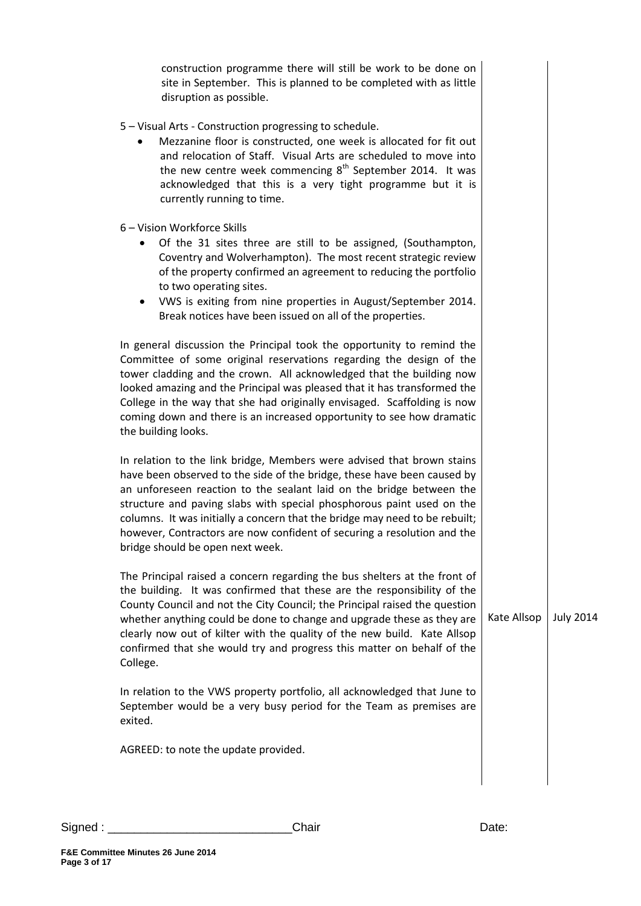| construction programme there will still be work to be done on<br>site in September. This is planned to be completed with as little<br>disruption as possible.                                                                                                                                                                                                                                                                                                                                    |             |                  |
|--------------------------------------------------------------------------------------------------------------------------------------------------------------------------------------------------------------------------------------------------------------------------------------------------------------------------------------------------------------------------------------------------------------------------------------------------------------------------------------------------|-------------|------------------|
| 5 - Visual Arts - Construction progressing to schedule.<br>Mezzanine floor is constructed, one week is allocated for fit out<br>and relocation of Staff. Visual Arts are scheduled to move into<br>the new centre week commencing $8th$ September 2014. It was<br>acknowledged that this is a very tight programme but it is<br>currently running to time.                                                                                                                                       |             |                  |
| 6 - Vision Workforce Skills<br>Of the 31 sites three are still to be assigned, (Southampton,<br>٠<br>Coventry and Wolverhampton). The most recent strategic review<br>of the property confirmed an agreement to reducing the portfolio<br>to two operating sites.<br>VWS is exiting from nine properties in August/September 2014.<br>٠<br>Break notices have been issued on all of the properties.                                                                                              |             |                  |
| In general discussion the Principal took the opportunity to remind the<br>Committee of some original reservations regarding the design of the<br>tower cladding and the crown. All acknowledged that the building now<br>looked amazing and the Principal was pleased that it has transformed the<br>College in the way that she had originally envisaged. Scaffolding is now<br>coming down and there is an increased opportunity to see how dramatic<br>the building looks.                    |             |                  |
| In relation to the link bridge, Members were advised that brown stains<br>have been observed to the side of the bridge, these have been caused by<br>an unforeseen reaction to the sealant laid on the bridge between the<br>structure and paving slabs with special phosphorous paint used on the<br>columns. It was initially a concern that the bridge may need to be rebuilt;<br>however, Contractors are now confident of securing a resolution and the<br>bridge should be open next week. |             |                  |
| The Principal raised a concern regarding the bus shelters at the front of<br>the building. It was confirmed that these are the responsibility of the<br>County Council and not the City Council; the Principal raised the question<br>whether anything could be done to change and upgrade these as they are<br>clearly now out of kilter with the quality of the new build. Kate Allsop<br>confirmed that she would try and progress this matter on behalf of the<br>College.                   | Kate Allsop | <b>July 2014</b> |
| In relation to the VWS property portfolio, all acknowledged that June to<br>September would be a very busy period for the Team as premises are<br>exited.                                                                                                                                                                                                                                                                                                                                        |             |                  |
| AGREED: to note the update provided.                                                                                                                                                                                                                                                                                                                                                                                                                                                             |             |                  |
|                                                                                                                                                                                                                                                                                                                                                                                                                                                                                                  |             |                  |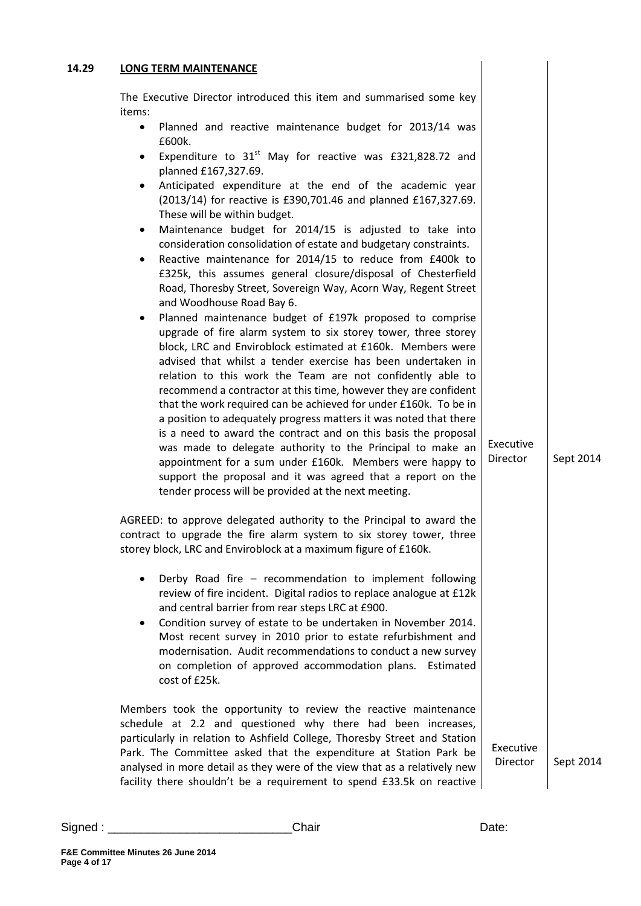## **14.29 LONG TERM MAINTENANCE**  The Executive Director introduced this item and summarised some key items: • Planned and reactive maintenance budget for 2013/14 was £600k. Expenditure to  $31<sup>st</sup>$  May for reactive was £321,828.72 and planned £167,327.69. Anticipated expenditure at the end of the academic year (2013/14) for reactive is £390,701.46 and planned £167,327.69. These will be within budget. Maintenance budget for 2014/15 is adjusted to take into consideration consolidation of estate and budgetary constraints. Reactive maintenance for 2014/15 to reduce from £400k to £325k, this assumes general closure/disposal of Chesterfield Road, Thoresby Street, Sovereign Way, Acorn Way, Regent Street and Woodhouse Road Bay 6. Planned maintenance budget of £197k proposed to comprise upgrade of fire alarm system to six storey tower, three storey block, LRC and Enviroblock estimated at £160k. Members were advised that whilst a tender exercise has been undertaken in relation to this work the Team are not confidently able to recommend a contractor at this time, however they are confident that the work required can be achieved for under £160k. To be in a position to adequately progress matters it was noted that there is a need to award the contract and on this basis the proposal was made to delegate authority to the Principal to make an appointment for a sum under £160k. Members were happy to support the proposal and it was agreed that a report on the tender process will be provided at the next meeting. AGREED: to approve delegated authority to the Principal to award the contract to upgrade the fire alarm system to six storey tower, three storey block, LRC and Enviroblock at a maximum figure of £160k. Derby Road fire – recommendation to implement following review of fire incident. Digital radios to replace analogue at £12k and central barrier from rear steps LRC at £900. Condition survey of estate to be undertaken in November 2014. Most recent survey in 2010 prior to estate refurbishment and modernisation. Audit recommendations to conduct a new survey on completion of approved accommodation plans. Estimated cost of £25k. Members took the opportunity to review the reactive maintenance schedule at 2.2 and questioned why there had been increases, particularly in relation to Ashfield College, Thoresby Street and Station Park. The Committee asked that the expenditure at Station Park be analysed in more detail as they were of the view that as a relatively new facility there shouldn't be a requirement to spend £33.5k on reactive Executive **Director** Executive Director Sept 2014 Sept 2014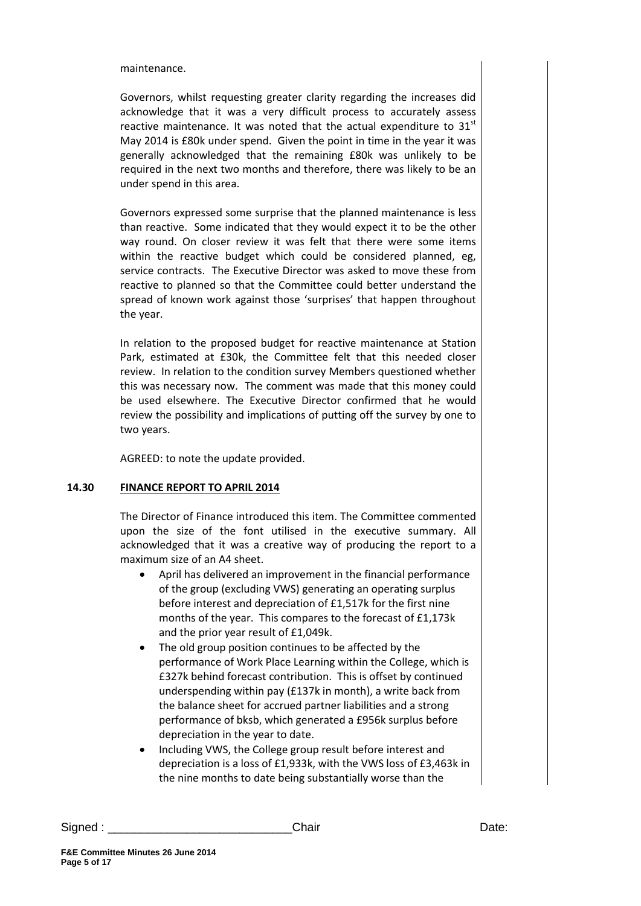maintenance.

Governors, whilst requesting greater clarity regarding the increases did acknowledge that it was a very difficult process to accurately assess reactive maintenance. It was noted that the actual expenditure to  $31<sup>st</sup>$ May 2014 is £80k under spend. Given the point in time in the year it was generally acknowledged that the remaining £80k was unlikely to be required in the next two months and therefore, there was likely to be an under spend in this area.

Governors expressed some surprise that the planned maintenance is less than reactive. Some indicated that they would expect it to be the other way round. On closer review it was felt that there were some items within the reactive budget which could be considered planned, eg, service contracts. The Executive Director was asked to move these from reactive to planned so that the Committee could better understand the spread of known work against those 'surprises' that happen throughout the year.

In relation to the proposed budget for reactive maintenance at Station Park, estimated at £30k, the Committee felt that this needed closer review. In relation to the condition survey Members questioned whether this was necessary now. The comment was made that this money could be used elsewhere. The Executive Director confirmed that he would review the possibility and implications of putting off the survey by one to two years.

AGREED: to note the update provided.

#### **14.30 FINANCE REPORT TO APRIL 2014**

The Director of Finance introduced this item. The Committee commented upon the size of the font utilised in the executive summary. All acknowledged that it was a creative way of producing the report to a maximum size of an A4 sheet.

- April has delivered an improvement in the financial performance of the group (excluding VWS) generating an operating surplus before interest and depreciation of £1,517k for the first nine months of the year. This compares to the forecast of £1,173k and the prior year result of £1,049k.
- The old group position continues to be affected by the performance of Work Place Learning within the College, which is £327k behind forecast contribution. This is offset by continued underspending within pay (£137k in month), a write back from the balance sheet for accrued partner liabilities and a strong performance of bksb, which generated a £956k surplus before depreciation in the year to date.
- Including VWS, the College group result before interest and depreciation is a loss of £1,933k, with the VWS loss of £3,463k in the nine months to date being substantially worse than the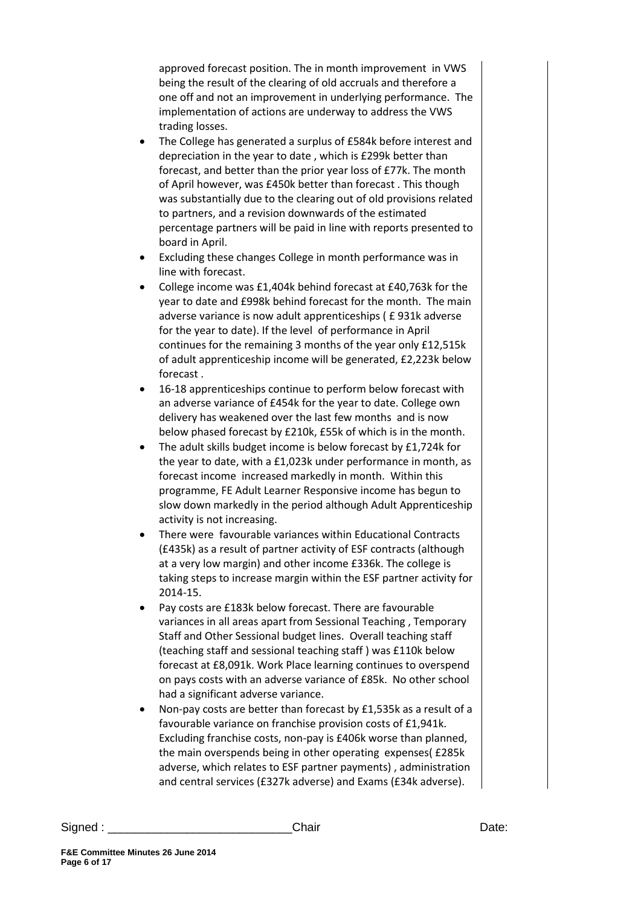approved forecast position. The in month improvement in VWS being the result of the clearing of old accruals and therefore a one off and not an improvement in underlying performance. The implementation of actions are underway to address the VWS trading losses.

- The College has generated a surplus of £584k before interest and depreciation in the year to date , which is £299k better than forecast, and better than the prior year loss of £77k. The month of April however, was £450k better than forecast . This though was substantially due to the clearing out of old provisions related to partners, and a revision downwards of the estimated percentage partners will be paid in line with reports presented to board in April.
- Excluding these changes College in month performance was in line with forecast.
- College income was £1,404k behind forecast at £40,763k for the year to date and £998k behind forecast for the month. The main adverse variance is now adult apprenticeships ( £ 931k adverse for the year to date). If the level of performance in April continues for the remaining 3 months of the year only £12,515k of adult apprenticeship income will be generated, £2,223k below forecast .
- 16-18 apprenticeships continue to perform below forecast with an adverse variance of £454k for the year to date. College own delivery has weakened over the last few months and is now below phased forecast by £210k, £55k of which is in the month.
- The adult skills budget income is below forecast by £1,724k for the year to date, with a £1,023k under performance in month, as forecast income increased markedly in month. Within this programme, FE Adult Learner Responsive income has begun to slow down markedly in the period although Adult Apprenticeship activity is not increasing.
- There were favourable variances within Educational Contracts (£435k) as a result of partner activity of ESF contracts (although at a very low margin) and other income £336k. The college is taking steps to increase margin within the ESF partner activity for 2014-15.
- Pay costs are £183k below forecast. There are favourable variances in all areas apart from Sessional Teaching , Temporary Staff and Other Sessional budget lines. Overall teaching staff (teaching staff and sessional teaching staff ) was £110k below forecast at £8,091k. Work Place learning continues to overspend on pays costs with an adverse variance of £85k. No other school had a significant adverse variance.
- Non-pay costs are better than forecast by £1,535k as a result of a favourable variance on franchise provision costs of £1,941k. Excluding franchise costs, non-pay is £406k worse than planned, the main overspends being in other operating expenses( £285k adverse, which relates to ESF partner payments) , administration and central services (£327k adverse) and Exams (£34k adverse).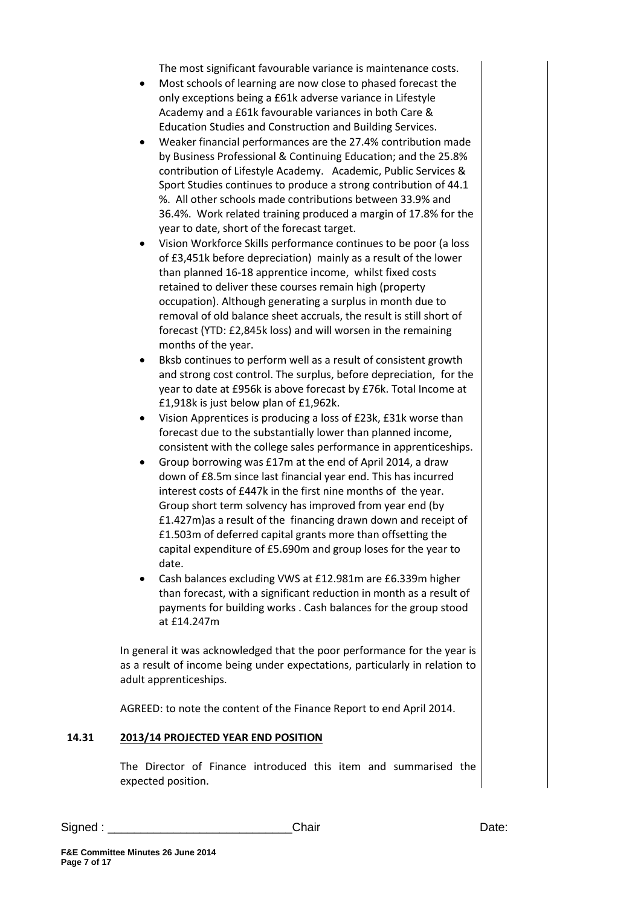The most significant favourable variance is maintenance costs.

- Most schools of learning are now close to phased forecast the only exceptions being a £61k adverse variance in Lifestyle Academy and a £61k favourable variances in both Care & Education Studies and Construction and Building Services.
- Weaker financial performances are the 27.4% contribution made by Business Professional & Continuing Education; and the 25.8% contribution of Lifestyle Academy. Academic, Public Services & Sport Studies continues to produce a strong contribution of 44.1 %. All other schools made contributions between 33.9% and 36.4%. Work related training produced a margin of 17.8% for the year to date, short of the forecast target.
- Vision Workforce Skills performance continues to be poor (a loss of £3,451k before depreciation) mainly as a result of the lower than planned 16-18 apprentice income, whilst fixed costs retained to deliver these courses remain high (property occupation). Although generating a surplus in month due to removal of old balance sheet accruals, the result is still short of forecast (YTD: £2,845k loss) and will worsen in the remaining months of the year.
- Bksb continues to perform well as a result of consistent growth and strong cost control. The surplus, before depreciation, for the year to date at £956k is above forecast by £76k. Total Income at £1,918k is just below plan of £1,962k.
- Vision Apprentices is producing a loss of £23k, £31k worse than forecast due to the substantially lower than planned income, consistent with the college sales performance in apprenticeships.
- Group borrowing was £17m at the end of April 2014, a draw down of £8.5m since last financial year end. This has incurred interest costs of £447k in the first nine months of the year. Group short term solvency has improved from year end (by £1.427m)as a result of the financing drawn down and receipt of £1.503m of deferred capital grants more than offsetting the capital expenditure of £5.690m and group loses for the year to date.
- Cash balances excluding VWS at £12.981m are £6.339m higher than forecast, with a significant reduction in month as a result of payments for building works . Cash balances for the group stood at £14.247m

In general it was acknowledged that the poor performance for the year is as a result of income being under expectations, particularly in relation to adult apprenticeships.

AGREED: to note the content of the Finance Report to end April 2014.

## **14.31 2013/14 PROJECTED YEAR END POSITION**

The Director of Finance introduced this item and summarised the expected position.

Signed : \_\_\_\_\_\_\_\_\_\_\_\_\_\_\_\_\_\_\_\_\_\_\_\_\_\_\_\_Chair Date: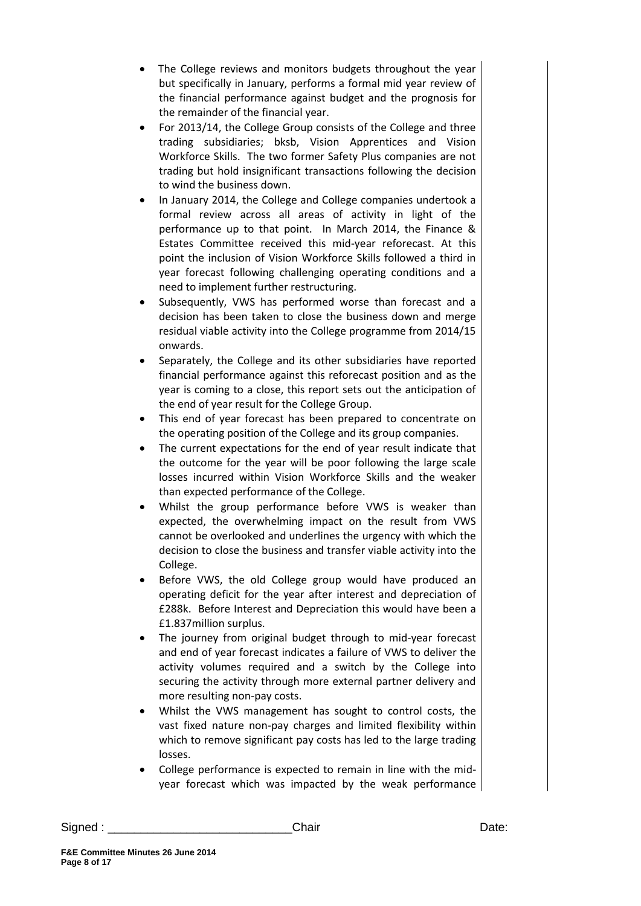- The College reviews and monitors budgets throughout the year but specifically in January, performs a formal mid year review of the financial performance against budget and the prognosis for the remainder of the financial year.
- For 2013/14, the College Group consists of the College and three trading subsidiaries; bksb, Vision Apprentices and Vision Workforce Skills. The two former Safety Plus companies are not trading but hold insignificant transactions following the decision to wind the business down.
- In January 2014, the College and College companies undertook a formal review across all areas of activity in light of the performance up to that point. In March 2014, the Finance & Estates Committee received this mid-year reforecast. At this point the inclusion of Vision Workforce Skills followed a third in year forecast following challenging operating conditions and a need to implement further restructuring.
- Subsequently, VWS has performed worse than forecast and a decision has been taken to close the business down and merge residual viable activity into the College programme from 2014/15 onwards.
- Separately, the College and its other subsidiaries have reported financial performance against this reforecast position and as the year is coming to a close, this report sets out the anticipation of the end of year result for the College Group.
- This end of year forecast has been prepared to concentrate on the operating position of the College and its group companies.
- The current expectations for the end of year result indicate that the outcome for the year will be poor following the large scale losses incurred within Vision Workforce Skills and the weaker than expected performance of the College.
- Whilst the group performance before VWS is weaker than expected, the overwhelming impact on the result from VWS cannot be overlooked and underlines the urgency with which the decision to close the business and transfer viable activity into the College.
- Before VWS, the old College group would have produced an operating deficit for the year after interest and depreciation of £288k. Before Interest and Depreciation this would have been a £1.837million surplus.
- The journey from original budget through to mid-year forecast and end of year forecast indicates a failure of VWS to deliver the activity volumes required and a switch by the College into securing the activity through more external partner delivery and more resulting non-pay costs.
- Whilst the VWS management has sought to control costs, the vast fixed nature non-pay charges and limited flexibility within which to remove significant pay costs has led to the large trading losses.
- College performance is expected to remain in line with the midyear forecast which was impacted by the weak performance

Signed : \_\_\_\_\_\_\_\_\_\_\_\_\_\_\_\_\_\_\_\_\_\_\_\_\_\_\_\_Chair Date: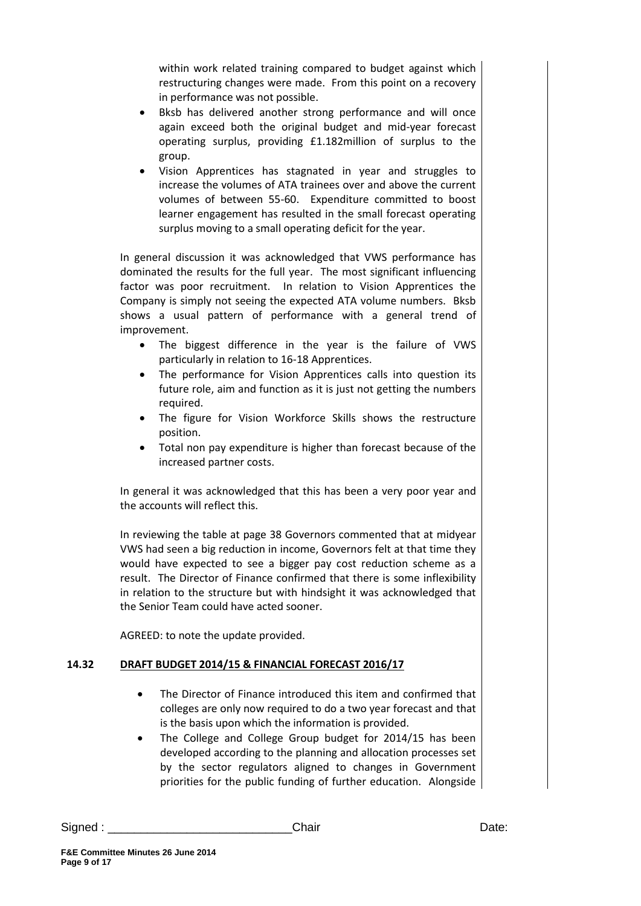within work related training compared to budget against which restructuring changes were made. From this point on a recovery in performance was not possible.

- Bksb has delivered another strong performance and will once again exceed both the original budget and mid-year forecast operating surplus, providing £1.182million of surplus to the group.
- Vision Apprentices has stagnated in year and struggles to increase the volumes of ATA trainees over and above the current volumes of between 55-60. Expenditure committed to boost learner engagement has resulted in the small forecast operating surplus moving to a small operating deficit for the year.

In general discussion it was acknowledged that VWS performance has dominated the results for the full year. The most significant influencing factor was poor recruitment. In relation to Vision Apprentices the Company is simply not seeing the expected ATA volume numbers. Bksb shows a usual pattern of performance with a general trend of improvement.

- The biggest difference in the year is the failure of VWS particularly in relation to 16-18 Apprentices.
- The performance for Vision Apprentices calls into question its future role, aim and function as it is just not getting the numbers required.
- The figure for Vision Workforce Skills shows the restructure position.
- Total non pay expenditure is higher than forecast because of the increased partner costs.

In general it was acknowledged that this has been a very poor year and the accounts will reflect this.

In reviewing the table at page 38 Governors commented that at midyear VWS had seen a big reduction in income, Governors felt at that time they would have expected to see a bigger pay cost reduction scheme as a result. The Director of Finance confirmed that there is some inflexibility in relation to the structure but with hindsight it was acknowledged that the Senior Team could have acted sooner.

AGREED: to note the update provided.

## **14.32 DRAFT BUDGET 2014/15 & FINANCIAL FORECAST 2016/17**

- The Director of Finance introduced this item and confirmed that colleges are only now required to do a two year forecast and that is the basis upon which the information is provided.
- The College and College Group budget for 2014/15 has been developed according to the planning and allocation processes set by the sector regulators aligned to changes in Government priorities for the public funding of further education. Alongside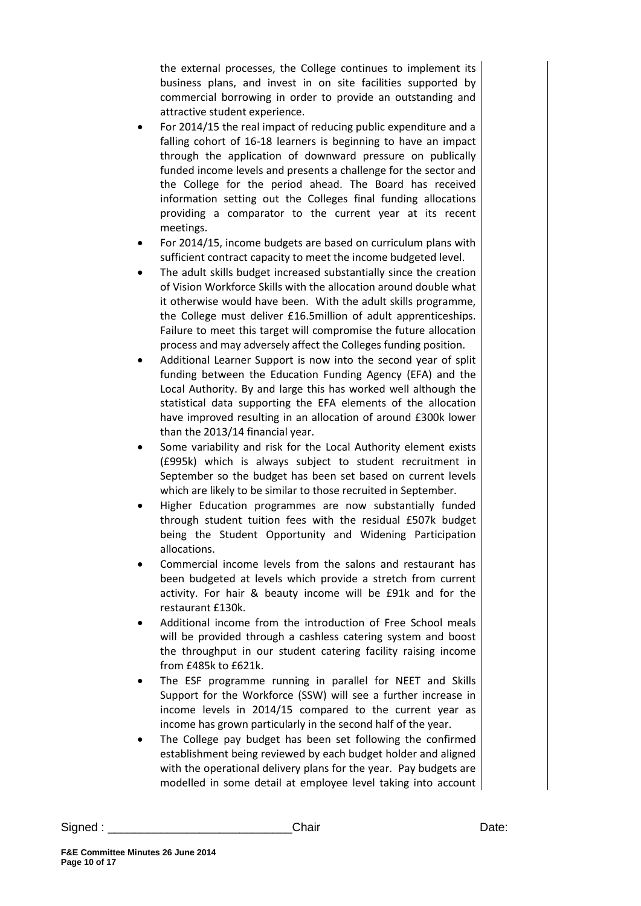the external processes, the College continues to implement its business plans, and invest in on site facilities supported by commercial borrowing in order to provide an outstanding and attractive student experience.

- For 2014/15 the real impact of reducing public expenditure and a falling cohort of 16-18 learners is beginning to have an impact through the application of downward pressure on publically funded income levels and presents a challenge for the sector and the College for the period ahead. The Board has received information setting out the Colleges final funding allocations providing a comparator to the current year at its recent meetings.
- For 2014/15, income budgets are based on curriculum plans with sufficient contract capacity to meet the income budgeted level.
- The adult skills budget increased substantially since the creation of Vision Workforce Skills with the allocation around double what it otherwise would have been. With the adult skills programme, the College must deliver £16.5million of adult apprenticeships. Failure to meet this target will compromise the future allocation process and may adversely affect the Colleges funding position.
- Additional Learner Support is now into the second year of split funding between the Education Funding Agency (EFA) and the Local Authority. By and large this has worked well although the statistical data supporting the EFA elements of the allocation have improved resulting in an allocation of around £300k lower than the 2013/14 financial year.
- Some variability and risk for the Local Authority element exists (£995k) which is always subject to student recruitment in September so the budget has been set based on current levels which are likely to be similar to those recruited in September.
- Higher Education programmes are now substantially funded through student tuition fees with the residual £507k budget being the Student Opportunity and Widening Participation allocations.
- Commercial income levels from the salons and restaurant has been budgeted at levels which provide a stretch from current activity. For hair & beauty income will be £91k and for the restaurant £130k.
- Additional income from the introduction of Free School meals will be provided through a cashless catering system and boost the throughput in our student catering facility raising income from £485k to £621k.
- The ESF programme running in parallel for NEET and Skills Support for the Workforce (SSW) will see a further increase in income levels in 2014/15 compared to the current year as income has grown particularly in the second half of the year.
- The College pay budget has been set following the confirmed establishment being reviewed by each budget holder and aligned with the operational delivery plans for the year. Pay budgets are modelled in some detail at employee level taking into account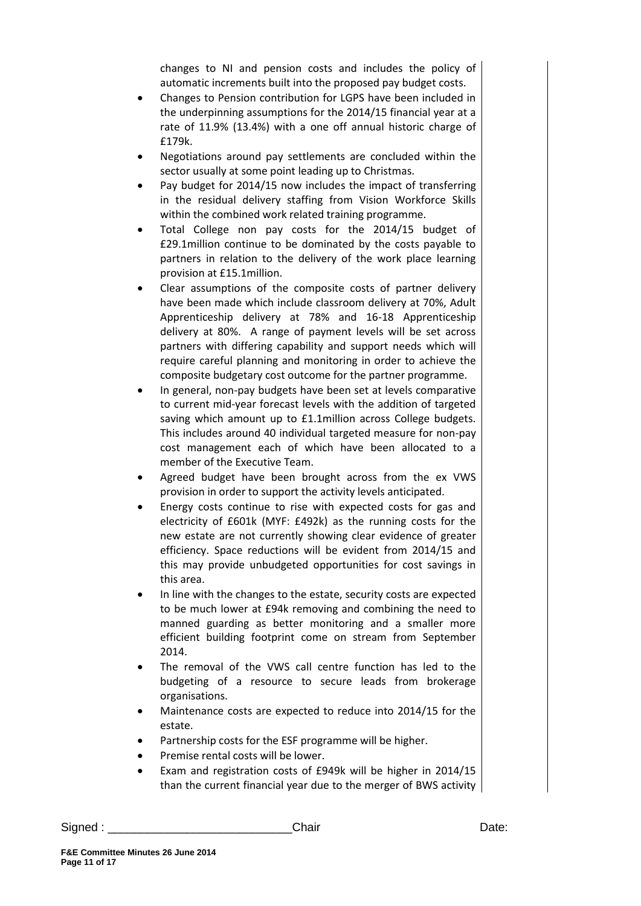changes to NI and pension costs and includes the policy of automatic increments built into the proposed pay budget costs.

- Changes to Pension contribution for LGPS have been included in the underpinning assumptions for the 2014/15 financial year at a rate of 11.9% (13.4%) with a one off annual historic charge of £179k.
- Negotiations around pay settlements are concluded within the sector usually at some point leading up to Christmas.
- Pay budget for 2014/15 now includes the impact of transferring in the residual delivery staffing from Vision Workforce Skills within the combined work related training programme.
- Total College non pay costs for the 2014/15 budget of £29.1million continue to be dominated by the costs payable to partners in relation to the delivery of the work place learning provision at £15.1million.
- Clear assumptions of the composite costs of partner delivery have been made which include classroom delivery at 70%, Adult Apprenticeship delivery at 78% and 16-18 Apprenticeship delivery at 80%. A range of payment levels will be set across partners with differing capability and support needs which will require careful planning and monitoring in order to achieve the composite budgetary cost outcome for the partner programme.
- In general, non-pay budgets have been set at levels comparative to current mid-year forecast levels with the addition of targeted saving which amount up to £1.1million across College budgets. This includes around 40 individual targeted measure for non-pay cost management each of which have been allocated to a member of the Executive Team.
- Agreed budget have been brought across from the ex VWS provision in order to support the activity levels anticipated.
- Energy costs continue to rise with expected costs for gas and electricity of £601k (MYF: £492k) as the running costs for the new estate are not currently showing clear evidence of greater efficiency. Space reductions will be evident from 2014/15 and this may provide unbudgeted opportunities for cost savings in this area.
- In line with the changes to the estate, security costs are expected to be much lower at £94k removing and combining the need to manned guarding as better monitoring and a smaller more efficient building footprint come on stream from September 2014.
- The removal of the VWS call centre function has led to the budgeting of a resource to secure leads from brokerage organisations.
- Maintenance costs are expected to reduce into 2014/15 for the estate.
- Partnership costs for the ESF programme will be higher.
- Premise rental costs will be lower.
- Exam and registration costs of £949k will be higher in 2014/15 than the current financial year due to the merger of BWS activity

Signed : \_\_\_\_\_\_\_\_\_\_\_\_\_\_\_\_\_\_\_\_\_\_\_\_\_\_\_\_Chair Date: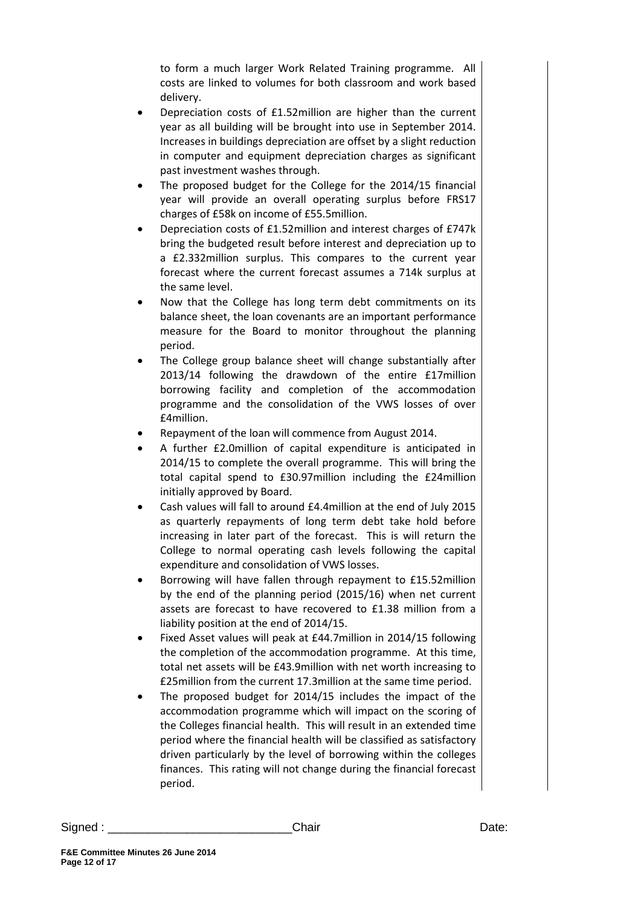to form a much larger Work Related Training programme. All costs are linked to volumes for both classroom and work based delivery.

- Depreciation costs of £1.52million are higher than the current year as all building will be brought into use in September 2014. Increases in buildings depreciation are offset by a slight reduction in computer and equipment depreciation charges as significant past investment washes through.
- The proposed budget for the College for the 2014/15 financial year will provide an overall operating surplus before FRS17 charges of £58k on income of £55.5million.
- Depreciation costs of £1.52million and interest charges of £747k bring the budgeted result before interest and depreciation up to a £2.332million surplus. This compares to the current year forecast where the current forecast assumes a 714k surplus at the same level.
- Now that the College has long term debt commitments on its balance sheet, the loan covenants are an important performance measure for the Board to monitor throughout the planning period.
- The College group balance sheet will change substantially after 2013/14 following the drawdown of the entire £17million borrowing facility and completion of the accommodation programme and the consolidation of the VWS losses of over £4million.
- Repayment of the loan will commence from August 2014.
- A further £2.0million of capital expenditure is anticipated in 2014/15 to complete the overall programme. This will bring the total capital spend to £30.97million including the £24million initially approved by Board.
- Cash values will fall to around £4.4million at the end of July 2015 as quarterly repayments of long term debt take hold before increasing in later part of the forecast. This is will return the College to normal operating cash levels following the capital expenditure and consolidation of VWS losses.
- Borrowing will have fallen through repayment to £15.52million by the end of the planning period (2015/16) when net current assets are forecast to have recovered to £1.38 million from a liability position at the end of 2014/15.
- Fixed Asset values will peak at £44.7million in 2014/15 following the completion of the accommodation programme. At this time, total net assets will be £43.9million with net worth increasing to £25million from the current 17.3million at the same time period.
- The proposed budget for 2014/15 includes the impact of the accommodation programme which will impact on the scoring of the Colleges financial health. This will result in an extended time period where the financial health will be classified as satisfactory driven particularly by the level of borrowing within the colleges finances. This rating will not change during the financial forecast period.

Signed : \_\_\_\_\_\_\_\_\_\_\_\_\_\_\_\_\_\_\_\_\_\_\_\_\_\_\_\_Chair Date: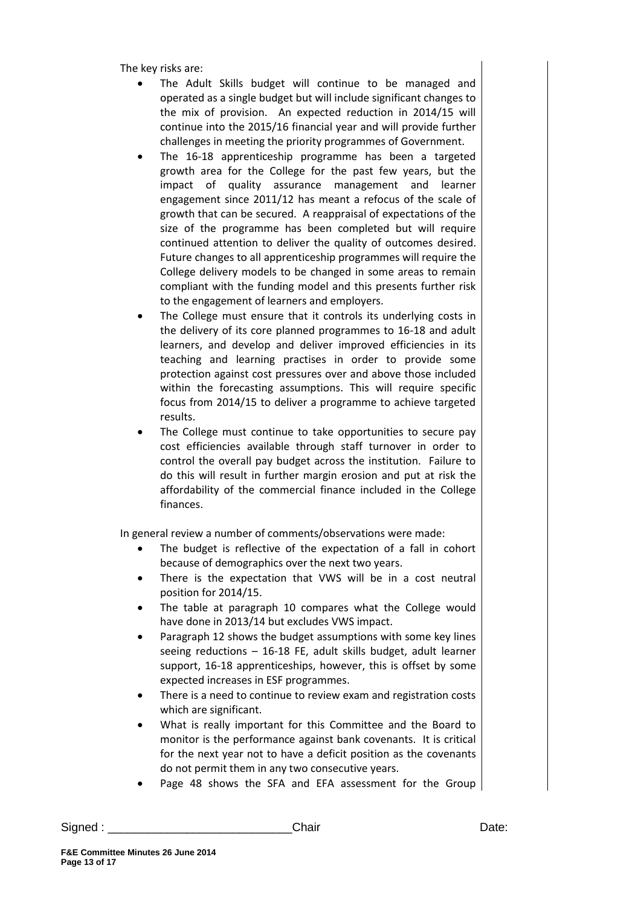The key risks are:

- The Adult Skills budget will continue to be managed and operated as a single budget but will include significant changes to the mix of provision. An expected reduction in 2014/15 will continue into the 2015/16 financial year and will provide further challenges in meeting the priority programmes of Government.
- The 16-18 apprenticeship programme has been a targeted growth area for the College for the past few years, but the impact of quality assurance management and learner engagement since 2011/12 has meant a refocus of the scale of growth that can be secured. A reappraisal of expectations of the size of the programme has been completed but will require continued attention to deliver the quality of outcomes desired. Future changes to all apprenticeship programmes will require the College delivery models to be changed in some areas to remain compliant with the funding model and this presents further risk to the engagement of learners and employers.
- The College must ensure that it controls its underlying costs in the delivery of its core planned programmes to 16-18 and adult learners, and develop and deliver improved efficiencies in its teaching and learning practises in order to provide some protection against cost pressures over and above those included within the forecasting assumptions. This will require specific focus from 2014/15 to deliver a programme to achieve targeted results.
- The College must continue to take opportunities to secure pay cost efficiencies available through staff turnover in order to control the overall pay budget across the institution. Failure to do this will result in further margin erosion and put at risk the affordability of the commercial finance included in the College finances.

In general review a number of comments/observations were made:

- The budget is reflective of the expectation of a fall in cohort because of demographics over the next two years.
- There is the expectation that VWS will be in a cost neutral position for 2014/15.
- The table at paragraph 10 compares what the College would have done in 2013/14 but excludes VWS impact.
- Paragraph 12 shows the budget assumptions with some key lines seeing reductions – 16-18 FE, adult skills budget, adult learner support, 16-18 apprenticeships, however, this is offset by some expected increases in ESF programmes.
- There is a need to continue to review exam and registration costs which are significant.
- What is really important for this Committee and the Board to monitor is the performance against bank covenants. It is critical for the next year not to have a deficit position as the covenants do not permit them in any two consecutive years.
- Page 48 shows the SFA and EFA assessment for the Group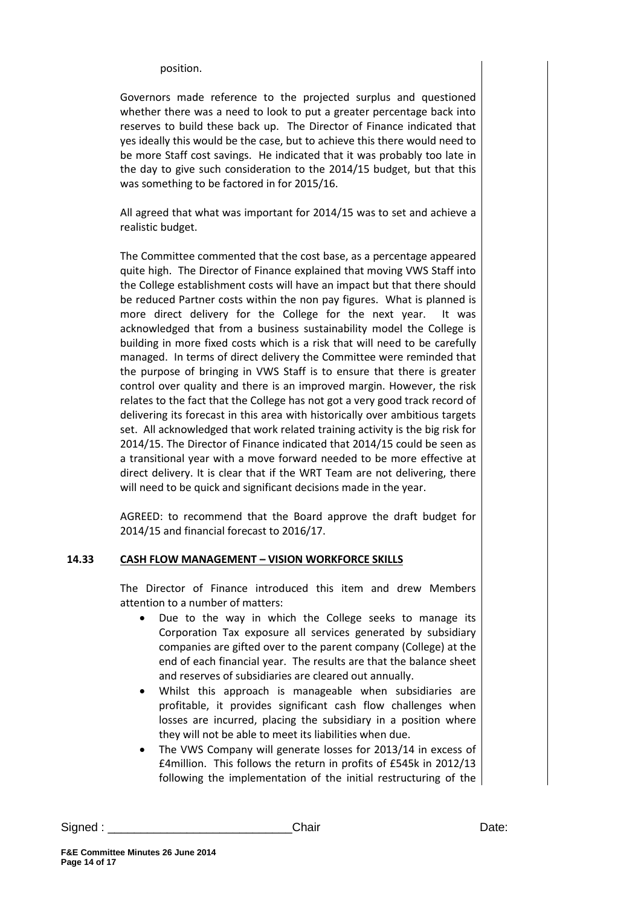position.

Governors made reference to the projected surplus and questioned whether there was a need to look to put a greater percentage back into reserves to build these back up. The Director of Finance indicated that yes ideally this would be the case, but to achieve this there would need to be more Staff cost savings. He indicated that it was probably too late in the day to give such consideration to the 2014/15 budget, but that this was something to be factored in for 2015/16.

All agreed that what was important for 2014/15 was to set and achieve a realistic budget.

The Committee commented that the cost base, as a percentage appeared quite high. The Director of Finance explained that moving VWS Staff into the College establishment costs will have an impact but that there should be reduced Partner costs within the non pay figures. What is planned is more direct delivery for the College for the next year. It was acknowledged that from a business sustainability model the College is building in more fixed costs which is a risk that will need to be carefully managed. In terms of direct delivery the Committee were reminded that the purpose of bringing in VWS Staff is to ensure that there is greater control over quality and there is an improved margin. However, the risk relates to the fact that the College has not got a very good track record of delivering its forecast in this area with historically over ambitious targets set. All acknowledged that work related training activity is the big risk for 2014/15. The Director of Finance indicated that 2014/15 could be seen as a transitional year with a move forward needed to be more effective at direct delivery. It is clear that if the WRT Team are not delivering, there will need to be quick and significant decisions made in the year.

AGREED: to recommend that the Board approve the draft budget for 2014/15 and financial forecast to 2016/17.

#### **14.33 CASH FLOW MANAGEMENT – VISION WORKFORCE SKILLS**

The Director of Finance introduced this item and drew Members attention to a number of matters:

- Due to the way in which the College seeks to manage its Corporation Tax exposure all services generated by subsidiary companies are gifted over to the parent company (College) at the end of each financial year. The results are that the balance sheet and reserves of subsidiaries are cleared out annually.
- Whilst this approach is manageable when subsidiaries are profitable, it provides significant cash flow challenges when losses are incurred, placing the subsidiary in a position where they will not be able to meet its liabilities when due.
- The VWS Company will generate losses for 2013/14 in excess of £4million. This follows the return in profits of £545k in 2012/13 following the implementation of the initial restructuring of the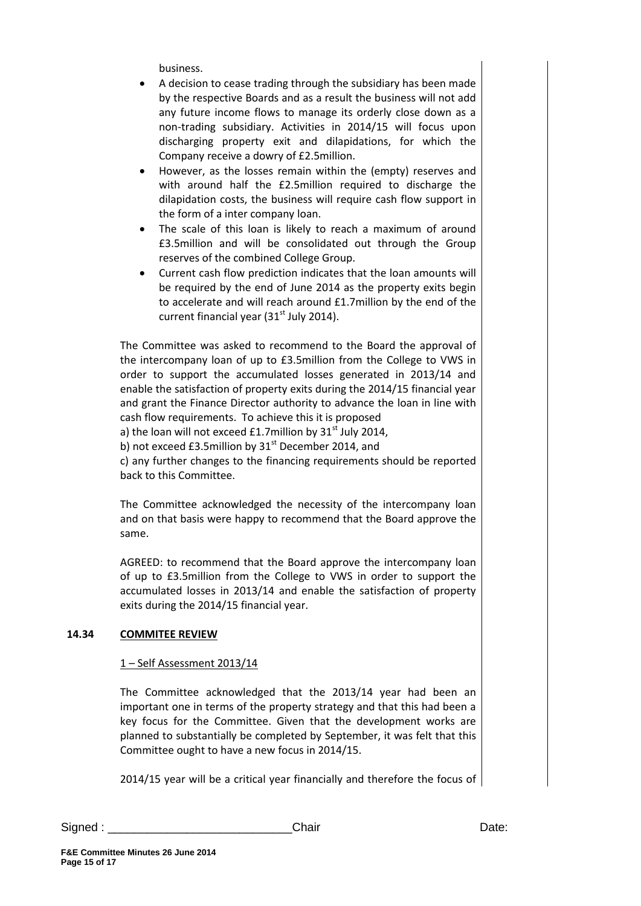business.

- A decision to cease trading through the subsidiary has been made by the respective Boards and as a result the business will not add any future income flows to manage its orderly close down as a non-trading subsidiary. Activities in 2014/15 will focus upon discharging property exit and dilapidations, for which the Company receive a dowry of £2.5million.
- However, as the losses remain within the (empty) reserves and with around half the £2.5million required to discharge the dilapidation costs, the business will require cash flow support in the form of a inter company loan.
- The scale of this loan is likely to reach a maximum of around £3.5million and will be consolidated out through the Group reserves of the combined College Group.
- Current cash flow prediction indicates that the loan amounts will be required by the end of June 2014 as the property exits begin to accelerate and will reach around £1.7million by the end of the current financial year  $(31<sup>st</sup>$  July 2014).

The Committee was asked to recommend to the Board the approval of the intercompany loan of up to £3.5million from the College to VWS in order to support the accumulated losses generated in 2013/14 and enable the satisfaction of property exits during the 2014/15 financial year and grant the Finance Director authority to advance the loan in line with cash flow requirements. To achieve this it is proposed a) the loan will not exceed £1.7million by  $31<sup>st</sup>$  July 2014,

b) not exceed £3.5million by  $31<sup>st</sup>$  December 2014, and

c) any further changes to the financing requirements should be reported back to this Committee.

The Committee acknowledged the necessity of the intercompany loan and on that basis were happy to recommend that the Board approve the same.

AGREED: to recommend that the Board approve the intercompany loan of up to £3.5million from the College to VWS in order to support the accumulated losses in 2013/14 and enable the satisfaction of property exits during the 2014/15 financial year.

## **14.34 COMMITEE REVIEW**

## 1 – Self Assessment 2013/14

The Committee acknowledged that the 2013/14 year had been an important one in terms of the property strategy and that this had been a key focus for the Committee. Given that the development works are planned to substantially be completed by September, it was felt that this Committee ought to have a new focus in 2014/15.

2014/15 year will be a critical year financially and therefore the focus of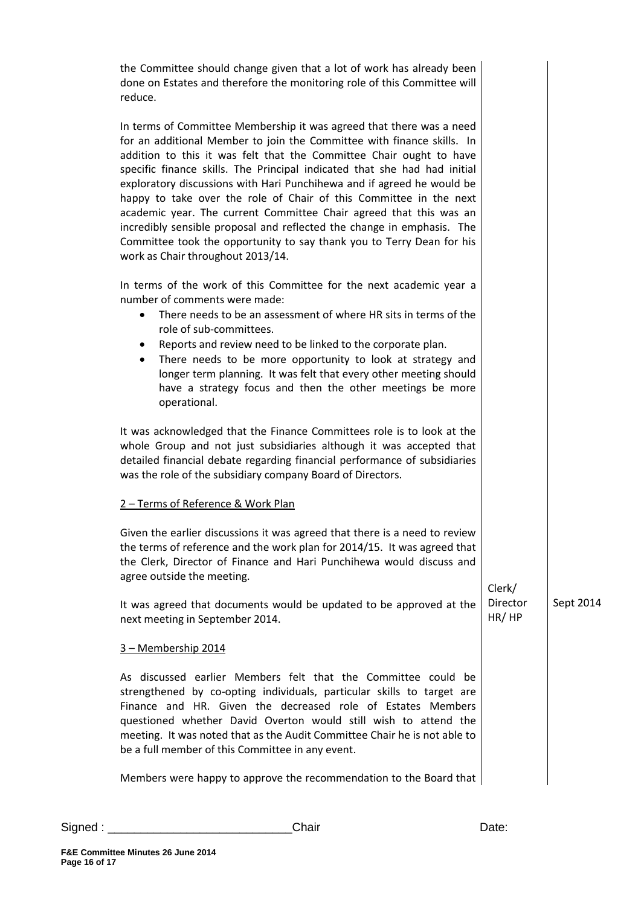| the Committee should change given that a lot of work has already been<br>done on Estates and therefore the monitoring role of this Committee will<br>reduce.                                                                                                                                                                                                                                                                                                                                                                                                                                                                                                                                                     |                   |           |
|------------------------------------------------------------------------------------------------------------------------------------------------------------------------------------------------------------------------------------------------------------------------------------------------------------------------------------------------------------------------------------------------------------------------------------------------------------------------------------------------------------------------------------------------------------------------------------------------------------------------------------------------------------------------------------------------------------------|-------------------|-----------|
| In terms of Committee Membership it was agreed that there was a need<br>for an additional Member to join the Committee with finance skills. In<br>addition to this it was felt that the Committee Chair ought to have<br>specific finance skills. The Principal indicated that she had had initial<br>exploratory discussions with Hari Punchihewa and if agreed he would be<br>happy to take over the role of Chair of this Committee in the next<br>academic year. The current Committee Chair agreed that this was an<br>incredibly sensible proposal and reflected the change in emphasis. The<br>Committee took the opportunity to say thank you to Terry Dean for his<br>work as Chair throughout 2013/14. |                   |           |
| In terms of the work of this Committee for the next academic year a<br>number of comments were made:<br>There needs to be an assessment of where HR sits in terms of the<br>$\bullet$<br>role of sub-committees.<br>Reports and review need to be linked to the corporate plan.<br>٠<br>There needs to be more opportunity to look at strategy and<br>$\bullet$<br>longer term planning. It was felt that every other meeting should<br>have a strategy focus and then the other meetings be more<br>operational.                                                                                                                                                                                                |                   |           |
| It was acknowledged that the Finance Committees role is to look at the<br>whole Group and not just subsidiaries although it was accepted that<br>detailed financial debate regarding financial performance of subsidiaries<br>was the role of the subsidiary company Board of Directors.                                                                                                                                                                                                                                                                                                                                                                                                                         |                   |           |
| 2 - Terms of Reference & Work Plan                                                                                                                                                                                                                                                                                                                                                                                                                                                                                                                                                                                                                                                                               |                   |           |
| Given the earlier discussions it was agreed that there is a need to review<br>the terms of reference and the work plan for 2014/15. It was agreed that<br>the Clerk, Director of Finance and Hari Punchihewa would discuss and<br>agree outside the meeting.                                                                                                                                                                                                                                                                                                                                                                                                                                                     | Clerk/            |           |
| It was agreed that documents would be updated to be approved at the<br>next meeting in September 2014.                                                                                                                                                                                                                                                                                                                                                                                                                                                                                                                                                                                                           | Director<br>HR/HP | Sept 2014 |
| 3 - Membership 2014                                                                                                                                                                                                                                                                                                                                                                                                                                                                                                                                                                                                                                                                                              |                   |           |
| As discussed earlier Members felt that the Committee could be<br>strengthened by co-opting individuals, particular skills to target are<br>Finance and HR. Given the decreased role of Estates Members<br>questioned whether David Overton would still wish to attend the<br>meeting. It was noted that as the Audit Committee Chair he is not able to<br>be a full member of this Committee in any event.                                                                                                                                                                                                                                                                                                       |                   |           |
| Members were happy to approve the recommendation to the Board that                                                                                                                                                                                                                                                                                                                                                                                                                                                                                                                                                                                                                                               |                   |           |